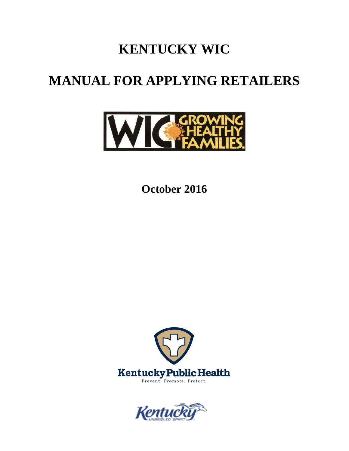# **KENTUCKY WIC**

# **MANUAL FOR APPLYING RETAILERS**



**October 2016**



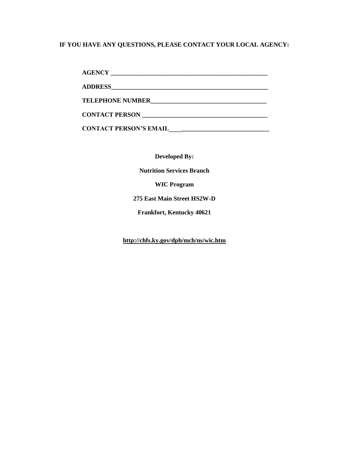## **IF YOU HAVE ANY QUESTIONS, PLEASE CONTACT YOUR LOCAL AGENCY:**

| <b>TELEPHONE NUMBER</b>       |
|-------------------------------|
| <b>CONTACT PERSON</b>         |
| <b>CONTACT PERSON'S EMAIL</b> |

**Developed By:**

**Nutrition Services Branch**

**WIC Program**

**275 East Main Street HS2W-D**

**Frankfort, Kentucky 40621**

**<http://chfs.ky.gov/dph/mch/ns/wic.htm>**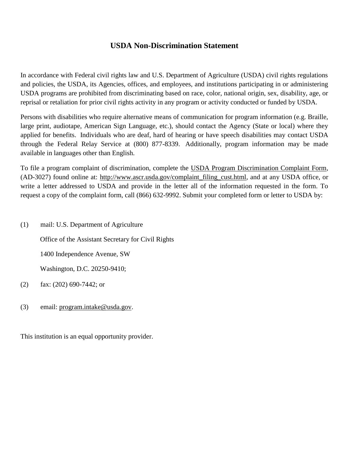## **USDA Non-Discrimination Statement**

In accordance with Federal civil rights law and U.S. Department of Agriculture (USDA) civil rights regulations and policies, the USDA, its Agencies, offices, and employees, and institutions participating in or administering USDA programs are prohibited from discriminating based on race, color, national origin, sex, disability, age, or reprisal or retaliation for prior civil rights activity in any program or activity conducted or funded by USDA.

Persons with disabilities who require alternative means of communication for program information (e.g. Braille, large print, audiotape, American Sign Language, etc.), should contact the Agency (State or local) where they applied for benefits. Individuals who are deaf, hard of hearing or have speech disabilities may contact USDA through the Federal Relay Service at (800) 877-8339. Additionally, program information may be made available in languages other than English.

To file a program complaint of discrimination, complete the [USDA Program Discrimination Complaint Form,](http://www.ocio.usda.gov/sites/default/files/docs/2012/Complain_combined_6_8_12.pdf) (AD-3027) found online at: [http://www.ascr.usda.gov/complaint\\_filing\\_cust.html,](http://www.ascr.usda.gov/complaint_filing_cust.html) and at any USDA office, or write a letter addressed to USDA and provide in the letter all of the information requested in the form. To request a copy of the complaint form, call (866) 632-9992. Submit your completed form or letter to USDA by:

(1) mail: U.S. Department of Agriculture

Office of the Assistant Secretary for Civil Rights

1400 Independence Avenue, SW

Washington, D.C. 20250-9410;

- (2) fax: (202) 690-7442; or
- (3) email: [program.intake@usda.gov.](mailto:program.intake@usda.gov)

This institution is an equal opportunity provider.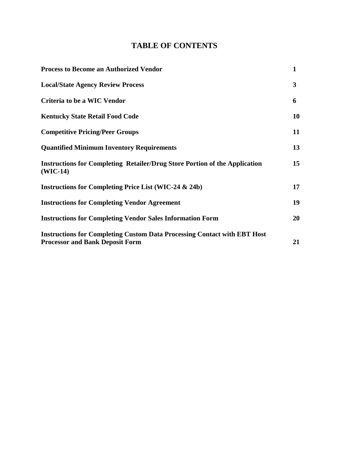# **TABLE OF CONTENTS**

| <b>Process to Become an Authorized Vendor</b>                                                                             | $\mathbf{1}$ |
|---------------------------------------------------------------------------------------------------------------------------|--------------|
| <b>Local/State Agency Review Process</b>                                                                                  | 3            |
| Criteria to be a WIC Vendor                                                                                               | 6            |
| <b>Kentucky State Retail Food Code</b>                                                                                    | <b>10</b>    |
| <b>Competitive Pricing/Peer Groups</b>                                                                                    | 11           |
| <b>Quantified Minimum Inventory Requirements</b>                                                                          | 13           |
| <b>Instructions for Completing Retailer/Drug Store Portion of the Application</b><br>$(WIC-14)$                           | 15           |
| <b>Instructions for Completing Price List (WIC-24 &amp; 24b)</b>                                                          | 17           |
| <b>Instructions for Completing Vendor Agreement</b>                                                                       | 19           |
| <b>Instructions for Completing Vendor Sales Information Form</b>                                                          | 20           |
| <b>Instructions for Completing Custom Data Processing Contact with EBT Host</b><br><b>Processor and Bank Deposit Form</b> | 21           |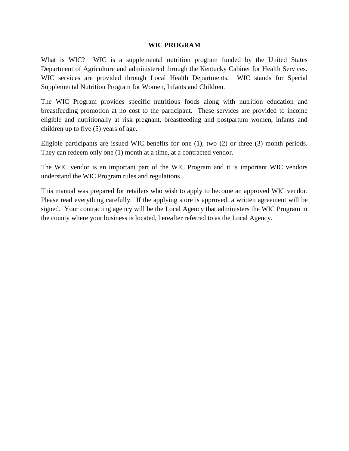#### **WIC PROGRAM**

What is WIC? WIC is a supplemental nutrition program funded by the United States Department of Agriculture and administered through the Kentucky Cabinet for Health Services. WIC services are provided through Local Health Departments. WIC stands for Special Supplemental Nutrition Program for Women, Infants and Children.

The WIC Program provides specific nutritious foods along with nutrition education and breastfeeding promotion at no cost to the participant. These services are provided to income eligible and nutritionally at risk pregnant, breastfeeding and postpartum women, infants and children up to five (5) years of age.

Eligible participants are issued WIC benefits for one (1), two (2) or three (3) month periods. They can redeem only one (1) month at a time, at a contracted vendor.

The WIC vendor is an important part of the WIC Program and it is important WIC vendors understand the WIC Program rules and regulations.

This manual was prepared for retailers who wish to apply to become an approved WIC vendor. Please read everything carefully. If the applying store is approved, a written agreement will be signed. Your contracting agency will be the Local Agency that administers the WIC Program in the county where your business is located, hereafter referred to as the Local Agency.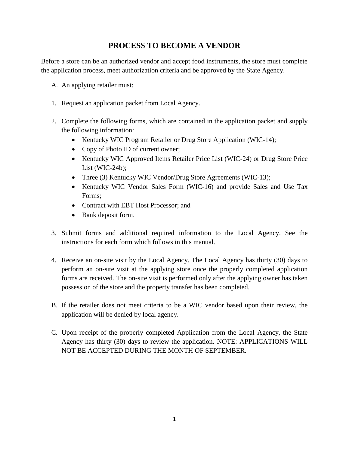## **PROCESS TO BECOME A VENDOR**

Before a store can be an authorized vendor and accept food instruments, the store must complete the application process, meet authorization criteria and be approved by the State Agency.

- A. An applying retailer must:
- 1. Request an application packet from Local Agency.
- 2. Complete the following forms, which are contained in the application packet and supply the following information:
	- Kentucky WIC Program Retailer or Drug Store Application (WIC-14);
	- Copy of Photo ID of current owner;
	- Kentucky WIC Approved Items Retailer Price List (WIC-24) or Drug Store Price List (WIC-24b);
	- Three (3) Kentucky WIC Vendor/Drug Store Agreements (WIC-13);
	- Kentucky WIC Vendor Sales Form (WIC-16) and provide Sales and Use Tax Forms;
	- Contract with EBT Host Processor: and
	- Bank deposit form.
- 3. Submit forms and additional required information to the Local Agency. See the instructions for each form which follows in this manual.
- 4. Receive an on-site visit by the Local Agency. The Local Agency has thirty (30) days to perform an on-site visit at the applying store once the properly completed application forms are received. The on-site visit is performed only after the applying owner has taken possession of the store and the property transfer has been completed.
- B. If the retailer does not meet criteria to be a WIC vendor based upon their review, the application will be denied by local agency.
- C. Upon receipt of the properly completed Application from the Local Agency, the State Agency has thirty (30) days to review the application. NOTE: APPLICATIONS WILL NOT BE ACCEPTED DURING THE MONTH OF SEPTEMBER.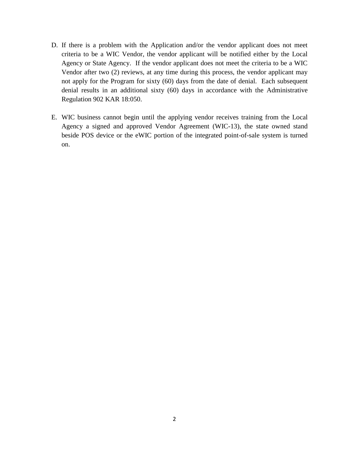- D. If there is a problem with the Application and/or the vendor applicant does not meet criteria to be a WIC Vendor, the vendor applicant will be notified either by the Local Agency or State Agency. If the vendor applicant does not meet the criteria to be a WIC Vendor after two (2) reviews, at any time during this process, the vendor applicant may not apply for the Program for sixty (60) days from the date of denial. Each subsequent denial results in an additional sixty (60) days in accordance with the Administrative Regulation 902 KAR 18:050.
- E. WIC business cannot begin until the applying vendor receives training from the Local Agency a signed and approved Vendor Agreement (WIC-13), the state owned stand beside POS device or the eWIC portion of the integrated point-of-sale system is turned on.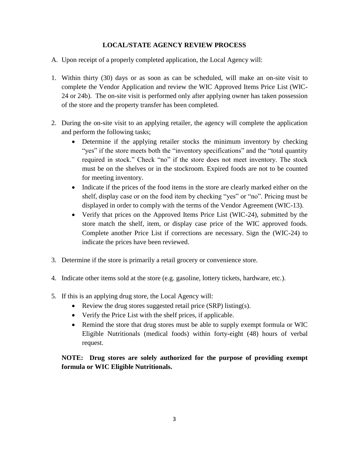### **LOCAL/STATE AGENCY REVIEW PROCESS**

- A. Upon receipt of a properly completed application, the Local Agency will:
- 1. Within thirty (30) days or as soon as can be scheduled, will make an on-site visit to complete the Vendor Application and review the WIC Approved Items Price List (WIC-24 or 24b). The on-site visit is performed only after applying owner has taken possession of the store and the property transfer has been completed.
- 2. During the on-site visit to an applying retailer, the agency will complete the application and perform the following tasks;
	- Determine if the applying retailer stocks the minimum inventory by checking "yes" if the store meets both the "inventory specifications" and the "total quantity required in stock." Check "no" if the store does not meet inventory. The stock must be on the shelves or in the stockroom. Expired foods are not to be counted for meeting inventory.
	- Indicate if the prices of the food items in the store are clearly marked either on the shelf, display case or on the food item by checking "yes" or "no". Pricing must be displayed in order to comply with the terms of the Vendor Agreement (WIC-13).
	- Verify that prices on the Approved Items Price List (WIC-24), submitted by the store match the shelf, item, or display case price of the WIC approved foods. Complete another Price List if corrections are necessary. Sign the (WIC-24) to indicate the prices have been reviewed.
- 3. Determine if the store is primarily a retail grocery or convenience store.
- 4. Indicate other items sold at the store (e.g. gasoline, lottery tickets, hardware, etc.).
- 5. If this is an applying drug store, the Local Agency will:
	- Review the drug stores suggested retail price (SRP) listing(s).
	- Verify the Price List with the shelf prices, if applicable.
	- Remind the store that drug stores must be able to supply exempt formula or WIC Eligible Nutritionals (medical foods) within forty-eight (48) hours of verbal request.

**NOTE: Drug stores are solely authorized for the purpose of providing exempt formula or WIC Eligible Nutritionals.**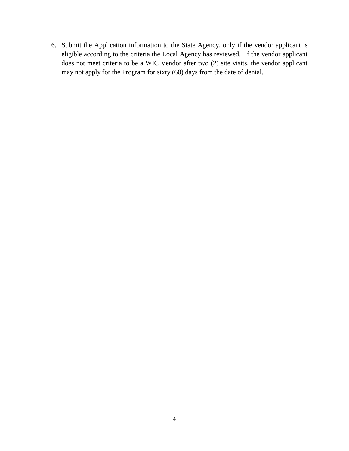6. Submit the Application information to the State Agency, only if the vendor applicant is eligible according to the criteria the Local Agency has reviewed. If the vendor applicant does not meet criteria to be a WIC Vendor after two (2) site visits, the vendor applicant may not apply for the Program for sixty (60) days from the date of denial.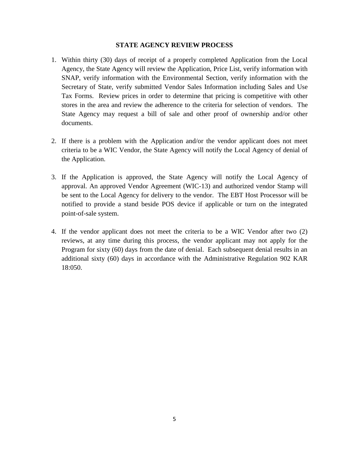#### **STATE AGENCY REVIEW PROCESS**

- 1. Within thirty (30) days of receipt of a properly completed Application from the Local Agency, the State Agency will review the Application, Price List, verify information with SNAP, verify information with the Environmental Section, verify information with the Secretary of State, verify submitted Vendor Sales Information including Sales and Use Tax Forms. Review prices in order to determine that pricing is competitive with other stores in the area and review the adherence to the criteria for selection of vendors. The State Agency may request a bill of sale and other proof of ownership and/or other documents.
- 2. If there is a problem with the Application and/or the vendor applicant does not meet criteria to be a WIC Vendor, the State Agency will notify the Local Agency of denial of the Application.
- 3. If the Application is approved, the State Agency will notify the Local Agency of approval. An approved Vendor Agreement (WIC-13) and authorized vendor Stamp will be sent to the Local Agency for delivery to the vendor. The EBT Host Processor will be notified to provide a stand beside POS device if applicable or turn on the integrated point-of-sale system.
- 4. If the vendor applicant does not meet the criteria to be a WIC Vendor after two (2) reviews, at any time during this process, the vendor applicant may not apply for the Program for sixty (60) days from the date of denial. Each subsequent denial results in an additional sixty (60) days in accordance with the Administrative Regulation 902 KAR 18:050.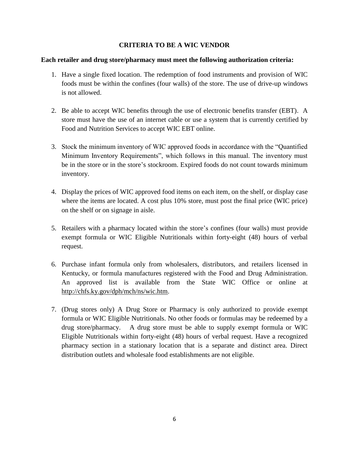#### **CRITERIA TO BE A WIC VENDOR**

#### **Each retailer and drug store/pharmacy must meet the following authorization criteria:**

- 1. Have a single fixed location. The redemption of food instruments and provision of WIC foods must be within the confines (four walls) of the store. The use of drive-up windows is not allowed.
- 2. Be able to accept WIC benefits through the use of electronic benefits transfer (EBT). A store must have the use of an internet cable or use a system that is currently certified by Food and Nutrition Services to accept WIC EBT online.
- 3. Stock the minimum inventory of WIC approved foods in accordance with the "Quantified Minimum Inventory Requirements", which follows in this manual. The inventory must be in the store or in the store's stockroom. Expired foods do not count towards minimum inventory.
- 4. Display the prices of WIC approved food items on each item, on the shelf, or display case where the items are located. A cost plus 10% store, must post the final price (WIC price) on the shelf or on signage in aisle.
- 5. Retailers with a pharmacy located within the store's confines (four walls) must provide exempt formula or WIC Eligible Nutritionals within forty-eight (48) hours of verbal request.
- 6. Purchase infant formula only from wholesalers, distributors, and retailers licensed in Kentucky, or formula manufactures registered with the Food and Drug Administration. An approved list is available from the State WIC Office or online at [http://chfs.ky.gov/dph/mch/ns/wic.htm.](http://chfs.ky.gov/dph/mch/ns/wic.htm)
- 7. (Drug stores only) A Drug Store or Pharmacy is only authorized to provide exempt formula or WIC Eligible Nutritionals. No other foods or formulas may be redeemed by a drug store/pharmacy. A drug store must be able to supply exempt formula or WIC Eligible Nutritionals within forty-eight (48) hours of verbal request. Have a recognized pharmacy section in a stationary location that is a separate and distinct area. Direct distribution outlets and wholesale food establishments are not eligible.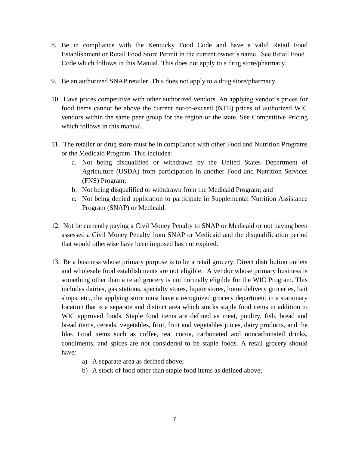- 8. Be in compliance with the Kentucky Food Code and have a valid Retail Food Establishment or Retail Food Store Permit in the current owner's name. See Retail Food Code which follows in this Manual. This does not apply to a drug store/pharmacy.
- 9. Be an authorized SNAP retailer. This does not apply to a drug store/pharmacy.
- 10. Have prices competitive with other authorized vendors. An applying vendor's prices for food items cannot be above the current not-to-exceed (NTE) prices of authorized WIC vendors within the same peer group for the region or the state. See Competitive Pricing which follows in this manual.
- 11. The retailer or drug store must be in compliance with other Food and Nutrition Programs or the Medicaid Program. This includes:
	- a. Not being disqualified or withdrawn by the United States Department of Agriculture (USDA) from participation in another Food and Nutrition Services (FNS) Program;
	- b. Not being disqualified or withdrawn from the Medicaid Program; and
	- c. Not being denied application to participate in Supplemental Nutrition Assistance Program (SNAP) or Medicaid.
- 12. Not be currently paying a Civil Money Penalty to SNAP or Medicaid or not having been assessed a Civil Money Penalty from SNAP or Medicaid and the disqualification period that would otherwise have been imposed has not expired.
- 13. Be a business whose primary purpose is to be a retail grocery. Direct distribution outlets and wholesale food establishments are not eligible. A vendor whose primary business is something other than a retail grocery is not normally eligible for the WIC Program. This includes dairies, gas stations, specialty stores, liquor stores, home delivery groceries, bait shops, etc., the applying store must have a recognized grocery department in a stationary location that is a separate and distinct area which stocks staple food items in addition to WIC approved foods. Staple food items are defined as meat, poultry, fish, bread and bread items, cereals, vegetables, fruit, fruit and vegetables juices, dairy products, and the like. Food items such as coffee, tea, cocoa, carbonated and noncarbonated drinks, condiments, and spices are not considered to be staple foods. A retail grocery should have:
	- a) A separate area as defined above;
	- b) A stock of food other than staple food items as defined above;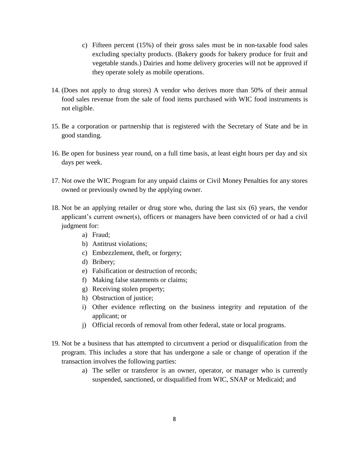- c) Fifteen percent (15%) of their gross sales must be in non-taxable food sales excluding specialty products. (Bakery goods for bakery produce for fruit and vegetable stands.) Dairies and home delivery groceries will not be approved if they operate solely as mobile operations.
- 14. (Does not apply to drug stores) A vendor who derives more than 50% of their annual food sales revenue from the sale of food items purchased with WIC food instruments is not eligible.
- 15. Be a corporation or partnership that is registered with the Secretary of State and be in good standing.
- 16. Be open for business year round, on a full time basis, at least eight hours per day and six days per week.
- 17. Not owe the WIC Program for any unpaid claims or Civil Money Penalties for any stores owned or previously owned by the applying owner.
- 18. Not be an applying retailer or drug store who, during the last six (6) years, the vendor applicant's current owner(s), officers or managers have been convicted of or had a civil judgment for:
	- a) Fraud;
	- b) Antitrust violations;
	- c) Embezzlement, theft, or forgery;
	- d) Bribery;
	- e) Falsification or destruction of records;
	- f) Making false statements or claims;
	- g) Receiving stolen property;
	- h) Obstruction of justice;
	- i) Other evidence reflecting on the business integrity and reputation of the applicant; or
	- j) Official records of removal from other federal, state or local programs.
- 19. Not be a business that has attempted to circumvent a period or disqualification from the program. This includes a store that has undergone a sale or change of operation if the transaction involves the following parties:
	- a) The seller or transferor is an owner, operator, or manager who is currently suspended, sanctioned, or disqualified from WIC, SNAP or Medicaid; and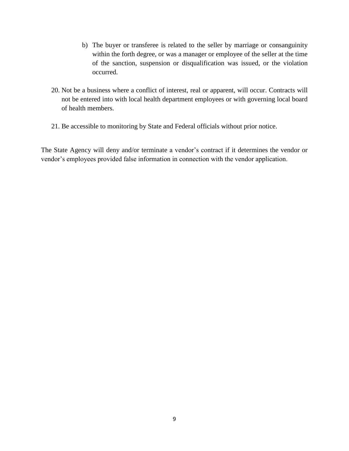- b) The buyer or transferee is related to the seller by marriage or consanguinity within the forth degree, or was a manager or employee of the seller at the time of the sanction, suspension or disqualification was issued, or the violation occurred.
- 20. Not be a business where a conflict of interest, real or apparent, will occur. Contracts will not be entered into with local health department employees or with governing local board of health members.
- 21. Be accessible to monitoring by State and Federal officials without prior notice.

The State Agency will deny and/or terminate a vendor's contract if it determines the vendor or vendor's employees provided false information in connection with the vendor application.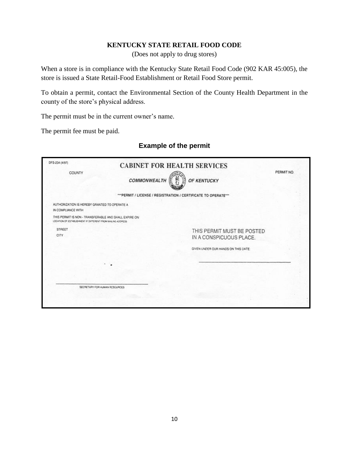#### **KENTUCKY STATE RETAIL FOOD CODE**

(Does not apply to drug stores)

When a store is in compliance with the Kentucky State Retail Food Code (902 KAR 45:005), the store is issued a State Retail-Food Establishment or Retail Food Store permit.

To obtain a permit, contact the Environmental Section of the County Health Department in the county of the store's physical address.

The permit must be in the current owner's name.

The permit fee must be paid.

## **Example of the permit**

| DFS-234 (4/97)                                                                                                        |                               | <b>CABINET FOR HEALTH SERVICES</b>                              |            |
|-----------------------------------------------------------------------------------------------------------------------|-------------------------------|-----------------------------------------------------------------|------------|
| <b>COUNTY</b>                                                                                                         | <b>COMMONWEALTH</b>           | OF KENTUCKY                                                     | PERMIT NO. |
|                                                                                                                       |                               | *** PERMIT / LICENSE / REGISTRATION / CERTIFICATE TO OPERATE*** |            |
| AUTHORIZATION IS HEREBY GRANTED TO OPERATE A<br>IN COMPLIANCE WITH                                                    |                               |                                                                 |            |
| THIS PERMIT IS NON - TRANSFERABLE AND SHALL EXPIRE ON<br>LOCATION OF ESTABLISHMENT IF DIFFERENT FROM MAILING ADDRESS. |                               |                                                                 |            |
| <b>STREET</b><br><b>CITY</b>                                                                                          |                               | THIS PERMIT MUST BE POSTED<br>IN A CONSPICUOUS PLACE.           |            |
|                                                                                                                       |                               | GIVEN UNDER OUR HANDS ON THIS DATE:                             |            |
|                                                                                                                       |                               |                                                                 |            |
|                                                                                                                       |                               |                                                                 |            |
|                                                                                                                       | SECRETARY FOR HUMAN RESCURCES |                                                                 |            |
|                                                                                                                       |                               |                                                                 |            |
|                                                                                                                       |                               |                                                                 |            |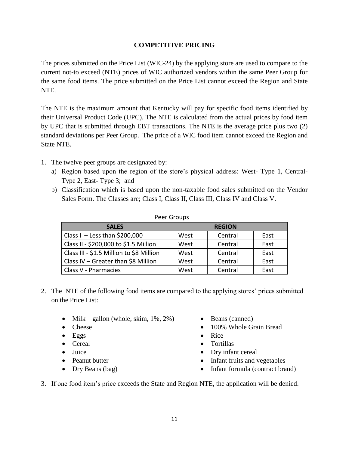## **COMPETITIVE PRICING**

The prices submitted on the Price List (WIC-24) by the applying store are used to compare to the current not-to exceed (NTE) prices of WIC authorized vendors within the same Peer Group for the same food items. The price submitted on the Price List cannot exceed the Region and State NTE.

The NTE is the maximum amount that Kentucky will pay for specific food items identified by their Universal Product Code (UPC). The NTE is calculated from the actual prices by food item by UPC that is submitted through EBT transactions. The NTE is the average price plus two (2) standard deviations per Peer Group. The price of a WIC food item cannot exceed the Region and State NTE.

- 1. The twelve peer groups are designated by:
	- a) Region based upon the region of the store's physical address: West- Type 1, Central-Type 2, East- Type 3; and
	- b) Classification which is based upon the non-taxable food sales submitted on the Vendor Sales Form. The Classes are; Class I, Class II, Class III, Class IV and Class V.

| Peer Groups                              |               |         |      |  |
|------------------------------------------|---------------|---------|------|--|
| <b>SALES</b>                             | <b>REGION</b> |         |      |  |
| Class I - Less than $$200,000$           | West          | Central | East |  |
| Class II - \$200,000 to \$1.5 Million    | West          | Central | East |  |
| Class III - \$1.5 Million to \$8 Million | West          | Central | East |  |
| Class IV - Greater than \$8 Million      | West          | Central | East |  |
| Class V - Pharmacies                     | West          | Central | East |  |

- 2. The NTE of the following food items are compared to the applying stores' prices submitted on the Price List:
	- Milk gallon (whole, skim,  $1\%, 2\%)$  Beans (canned)
	-
	- Eggs Rice
	-
	-
	-
	-
- 
- Cheese 100% Whole Grain Bread
	-
- Cereal Tortillas
- Juice **Dry infant cereal**
- Peanut butter **Infant fruits and vegetables**
- Dry Beans (bag) **Infant formula (contract brand)**
- 3. If one food item's price exceeds the State and Region NTE, the application will be denied.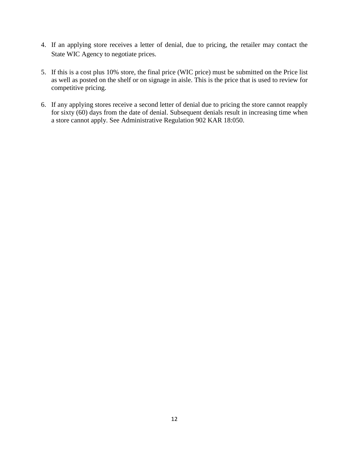- 4. If an applying store receives a letter of denial, due to pricing, the retailer may contact the State WIC Agency to negotiate prices.
- 5. If this is a cost plus 10% store, the final price (WIC price) must be submitted on the Price list as well as posted on the shelf or on signage in aisle. This is the price that is used to review for competitive pricing.
- 6. If any applying stores receive a second letter of denial due to pricing the store cannot reapply for sixty (60) days from the date of denial. Subsequent denials result in increasing time when a store cannot apply. See Administrative Regulation 902 KAR 18:050.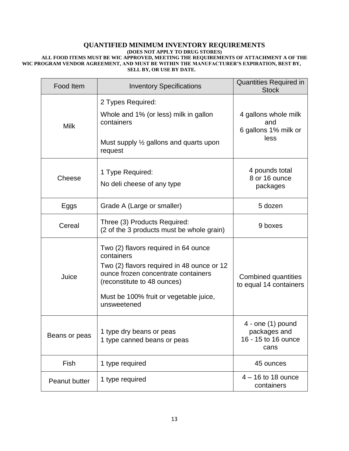#### **QUANTIFIED MINIMUM INVENTORY REQUIREMENTS (DOES NOT APPLY TO DRUG STORES) ALL FOOD ITEMS MUST BE WIC APPROVED, MEETING THE REQUIREMENTS OF ATTACHMENT A OF THE WIC PROGRAM VENDOR AGREEMENT, AND MUST BE WITHIN THE MANUFACTURER'S EXPIRATION, BEST BY, SELL BY, OR USE BY DATE.**

| Food Item     | <b>Inventory Specifications</b>                                                                                                                                                                                                 | <b>Quantities Required in</b><br><b>Stock</b>                        |
|---------------|---------------------------------------------------------------------------------------------------------------------------------------------------------------------------------------------------------------------------------|----------------------------------------------------------------------|
| <b>Milk</b>   | 2 Types Required:<br>Whole and 1% (or less) milk in gallon<br>containers<br>Must supply 1/2 gallons and quarts upon<br>request                                                                                                  | 4 gallons whole milk<br>and<br>6 gallons 1% milk or<br>less          |
| Cheese        | 1 Type Required:<br>No deli cheese of any type                                                                                                                                                                                  | 4 pounds total<br>8 or 16 ounce<br>packages                          |
| Eggs          | Grade A (Large or smaller)                                                                                                                                                                                                      | 5 dozen                                                              |
| Cereal        | Three (3) Products Required:<br>(2 of the 3 products must be whole grain)                                                                                                                                                       | 9 boxes                                                              |
| Juice         | Two (2) flavors required in 64 ounce<br>containers<br>Two (2) flavors required in 48 ounce or 12<br>ounce frozen concentrate containers<br>(reconstitute to 48 ounces)<br>Must be 100% fruit or vegetable juice,<br>unsweetened | <b>Combined quantities</b><br>to equal 14 containers                 |
| Beans or peas | 1 type dry beans or peas<br>1 type canned beans or peas                                                                                                                                                                         | $4 -$ one $(1)$ pound<br>packages and<br>16 - 15 to 16 ounce<br>cans |
| Fish          | 1 type required                                                                                                                                                                                                                 | 45 ounces                                                            |
| Peanut butter | 1 type required                                                                                                                                                                                                                 | $4 - 16$ to 18 ounce<br>containers                                   |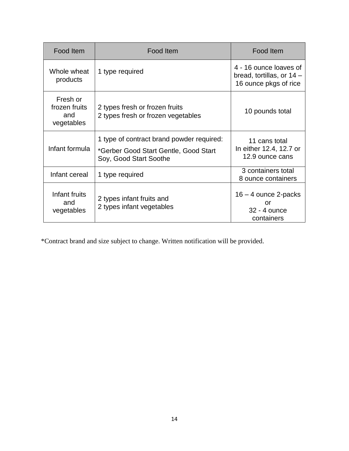| Food Item                                      | Food Item                                                                                                    | Food Item                                                                    |
|------------------------------------------------|--------------------------------------------------------------------------------------------------------------|------------------------------------------------------------------------------|
| Whole wheat<br>products                        | 1 type required                                                                                              | 4 - 16 ounce loaves of<br>bread, tortillas, or 14 -<br>16 ounce pkgs of rice |
| Fresh or<br>frozen fruits<br>and<br>vegetables | 2 types fresh or frozen fruits<br>2 types fresh or frozen vegetables                                         | 10 pounds total                                                              |
| Infant formula                                 | 1 type of contract brand powder required:<br>*Gerber Good Start Gentle, Good Start<br>Soy, Good Start Soothe | 11 cans total<br>In either 12.4, 12.7 or<br>12.9 ounce cans                  |
| Infant cereal                                  | 1 type required                                                                                              | 3 containers total<br>8 ounce containers                                     |
| Infant fruits<br>and<br>vegetables             | 2 types infant fruits and<br>2 types infant vegetables                                                       | $16 - 4$ ounce 2-packs<br>Ωr<br>32 - 4 ounce<br>containers                   |

\*Contract brand and size subject to change. Written notification will be provided.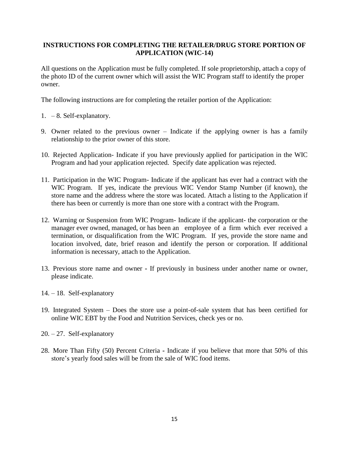#### **INSTRUCTIONS FOR COMPLETING THE RETAILER/DRUG STORE PORTION OF APPLICATION (WIC-14)**

All questions on the Application must be fully completed. If sole proprietorship, attach a copy of the photo ID of the current owner which will assist the WIC Program staff to identify the proper owner.

The following instructions are for completing the retailer portion of the Application:

- 1. 8. Self-explanatory.
- 9. Owner related to the previous owner Indicate if the applying owner is has a family relationship to the prior owner of this store.
- 10. Rejected Application- Indicate if you have previously applied for participation in the WIC Program and had your application rejected. Specify date application was rejected.
- 11. Participation in the WIC Program- Indicate if the applicant has ever had a contract with the WIC Program. If yes, indicate the previous WIC Vendor Stamp Number (if known), the store name and the address where the store was located. Attach a listing to the Application if there has been or currently is more than one store with a contract with the Program.
- 12. Warning or Suspension from WIC Program- Indicate if the applicant- the corporation or the manager ever owned, managed, or has been an employee of a firm which ever received a termination, or disqualification from the WIC Program. If yes, provide the store name and location involved, date, brief reason and identify the person or corporation. If additional information is necessary, attach to the Application.
- 13. Previous store name and owner **-** If previously in business under another name or owner, please indicate.
- 14. 18. Self-explanatory
- 19. Integrated System Does the store use a point-of-sale system that has been certified for online WIC EBT by the Food and Nutrition Services, check yes or no.
- 20. 27. Self-explanatory
- 28. More Than Fifty (50) Percent Criteria **-** Indicate if you believe that more that 50% of this store's yearly food sales will be from the sale of WIC food items.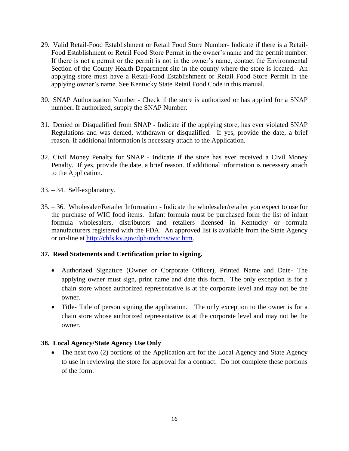- 29. Valid Retail-Food Establishment or Retail Food Store Number- Indicate if there is a Retail-Food Establishment or Retail Food Store Permit in the owner's name and the permit number. If there is not a permit or the permit is not in the owner's name, contact the Environmental Section of the County Health Department site in the county where the store is located. An applying store must have a Retail-Food Establishment or Retail Food Store Permit in the applying owner's name. See Kentucky State Retail Food Code in this manual.
- 30. SNAP Authorization Number **-** Check if the store is authorized or has applied for a SNAP number**.** If authorized, supply the SNAP Number.
- 31. Denied or Disqualified from SNAP **-** Indicate if the applying store, has ever violated SNAP Regulations and was denied, withdrawn or disqualified. If yes, provide the date, a brief reason. If additional information is necessary attach to the Application.
- 32. Civil Money Penalty for SNAP Indicate if the store has ever received a Civil Money Penalty. If yes, provide the date, a brief reason. If additional information is necessary attach to the Application.
- 33. 34. Self-explanatory.
- 35. 36. Wholesaler/Retailer Information **-** Indicate the wholesaler/retailer you expect to use for the purchase of WIC food items. Infant formula must be purchased form the list of infant formula wholesalers, distributors and retailers licensed in Kentucky or formula manufacturers registered with the FDA. An approved list is available from the State Agency or on-line at [http://chfs.ky.gov/dph/mch/ns/wic.htm.](http://chfs.ky.gov/dph/mch/ns/wic.htm)

## **37. Read Statements and Certification prior to signing.**

- Authorized Signature (Owner or Corporate Officer), Printed Name and Date- The applying owner must sign, print name and date this form. The only exception is for a chain store whose authorized representative is at the corporate level and may not be the owner.
- Title- Title of person signing the application. The only exception to the owner is for a chain store whose authorized representative is at the corporate level and may not be the owner.

## **38. Local Agency/State Agency Use Only**

• The next two (2) portions of the Application are for the Local Agency and State Agency to use in reviewing the store for approval for a contract. Do not complete these portions of the form.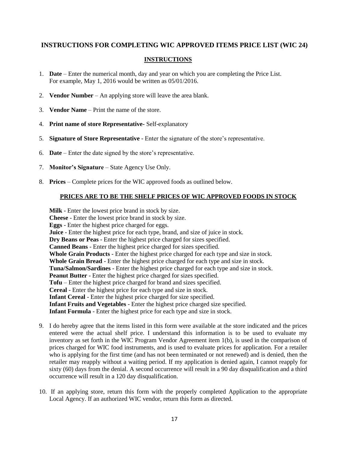### **INSTRUCTIONS FOR COMPLETING WIC APPROVED ITEMS PRICE LIST (WIC 24)**

#### **INSTRUCTIONS**

- 1. **Date**  Enter the numerical month, day and year on which you are completing the Price List. For example, May 1, 2016 would be written as 05/01/2016.
- 2. **Vendor Number** An applying store will leave the area blank.
- 3. **Vendor Name** Print the name of the store.
- 4. **Print name of store Representative-** Self-explanatory
- 5. **Signature of Store Representative** Enter the signature of the store's representative.
- 6. **Date** Enter the date signed by the store's representative.
- 7. **Monitor's Signature** State Agency Use Only.
- 8. **Prices** Complete prices for the WIC approved foods as outlined below.

#### **PRICES ARE TO BE THE SHELF PRICES OF WIC APPROVED FOODS IN STOCK**

**Milk** - Enter the lowest price brand in stock by size. **Cheese** - Enter the lowest price brand in stock by size. **Eggs** - Enter the highest price charged for eggs. **Juice** - Enter the highest price for each type, brand, and size of juice in stock. **Dry Beans or Peas** - Enter the highest price charged for sizes specified. **Canned Beans** - Enter the highest price charged for sizes specified. **Whole Grain Products** - Enter the highest price charged for each type and size in stock. **Whole Grain Bread** - Enter the highest price charged for each type and size in stock. **Tuna/Salmon/Sardines** - Enter the highest price charged for each type and size in stock. **Peanut Butter** - Enter the highest price charged for sizes specified. **Tofu** – Enter the highest price charged for brand and sizes specified. **Cereal** - Enter the highest price for each type and size in stock. **Infant Cereal** - Enter the highest price charged for size specified. **Infant Fruits and Vegetables** - Enter the highest price charged size specified. **Infant Formula** - Enter the highest price for each type and size in stock.

- 9. I do hereby agree that the items listed in this form were available at the store indicated and the prices entered were the actual shelf price. I understand this information is to be used to evaluate my inventory as set forth in the WIC Program Vendor Agreement item 1(b), is used in the comparison of prices charged for WIC food instruments, and is used to evaluate prices for application. For a retailer who is applying for the first time (and has not been terminated or not renewed) and is denied, then the retailer may reapply without a waiting period. If my application is denied again, I cannot reapply for sixty (60) days from the denial. A second occurrence will result in a 90 day disqualification and a third occurrence will result in a 120 day disqualification.
- 10. If an applying store, return this form with the properly completed Application to the appropriate Local Agency. If an authorized WIC vendor, return this form as directed.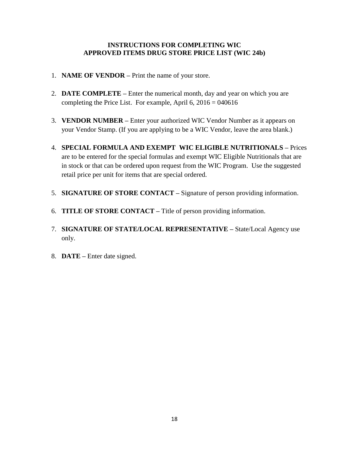#### **INSTRUCTIONS FOR COMPLETING WIC APPROVED ITEMS DRUG STORE PRICE LIST (WIC 24b)**

- 1. **NAME OF VENDOR –** Print the name of your store.
- 2. **DATE COMPLETE –** Enter the numerical month, day and year on which you are completing the Price List. For example, April  $6, 2016 = 040616$
- 3. **VENDOR NUMBER –** Enter your authorized WIC Vendor Number as it appears on your Vendor Stamp. (If you are applying to be a WIC Vendor, leave the area blank.)
- 4. **SPECIAL FORMULA AND EXEMPT WIC ELIGIBLE NUTRITIONALS –** Prices are to be entered for the special formulas and exempt WIC Eligible Nutritionals that are in stock or that can be ordered upon request from the WIC Program. Use the suggested retail price per unit for items that are special ordered.
- 5. **SIGNATURE OF STORE CONTACT –** Signature of person providing information.
- 6. **TITLE OF STORE CONTACT –** Title of person providing information.
- 7. **SIGNATURE OF STATE/LOCAL REPRESENTATIVE –** State/Local Agency use only.
- 8. **DATE –** Enter date signed.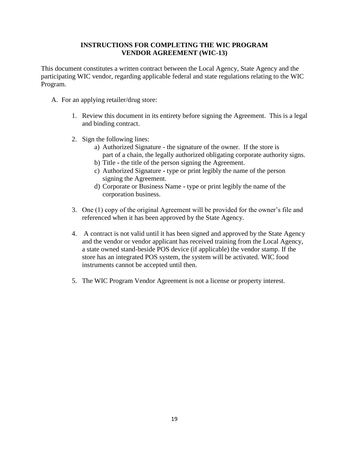#### **INSTRUCTIONS FOR COMPLETING THE WIC PROGRAM VENDOR AGREEMENT (WIC-13)**

This document constitutes a written contract between the Local Agency, State Agency and the participating WIC vendor, regarding applicable federal and state regulations relating to the WIC Program.

- A. For an applying retailer/drug store:
	- 1. Review this document in its entirety before signing the Agreement. This is a legal and binding contract.
	- 2. Sign the following lines:
		- a) Authorized Signature the signature of the owner.If the store is part of a chain, the legally authorized obligating corporate authority signs.
		- b) Title **-** the title of the person signing the Agreement.
		- c) Authorized Signature **-** type or print legibly the name of the person signing the Agreement.
		- d) Corporate or Business Name **-** type or print legibly the name of the corporation business.
	- 3. One (1) copy of the original Agreement will be provided for the owner's file and referenced when it has been approved by the State Agency.
	- 4. A contract is not valid until it has been signed and approved by the State Agency and the vendor or vendor applicant has received training from the Local Agency, a state owned stand-beside POS device (if applicable) the vendor stamp. If the store has an integrated POS system, the system will be activated. WIC food instruments cannot be accepted until then.
	- 5. The WIC Program Vendor Agreement is not a license or property interest.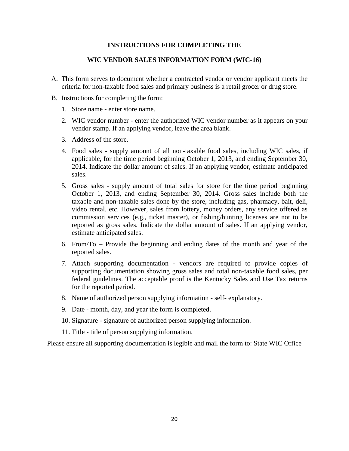#### **INSTRUCTIONS FOR COMPLETING THE**

#### **WIC VENDOR SALES INFORMATION FORM (WIC-16)**

- A. This form serves to document whether a contracted vendor or vendor applicant meets the criteria for non-taxable food sales and primary business is a retail grocer or drug store.
- B. Instructions for completing the form:
	- 1. Store name enter store name.
	- 2. WIC vendor number enter the authorized WIC vendor number as it appears on your vendor stamp. If an applying vendor, leave the area blank.
	- 3. Address of the store.
	- 4. Food sales supply amount of all non-taxable food sales, including WIC sales, if applicable, for the time period beginning October 1, 2013, and ending September 30, 2014. Indicate the dollar amount of sales. If an applying vendor, estimate anticipated sales.
	- 5. Gross sales supply amount of total sales for store for the time period beginning October 1, 2013, and ending September 30, 2014. Gross sales include both the taxable and non-taxable sales done by the store, including gas, pharmacy, bait, deli, video rental, etc. However, sales from lottery, money orders, any service offered as commission services (e.g., ticket master), or fishing/hunting licenses are not to be reported as gross sales. Indicate the dollar amount of sales. If an applying vendor, estimate anticipated sales.
	- 6. From/To Provide the beginning and ending dates of the month and year of the reported sales.
	- 7. Attach supporting documentation vendors are required to provide copies of supporting documentation showing gross sales and total non-taxable food sales, per federal guidelines. The acceptable proof is the Kentucky Sales and Use Tax returns for the reported period.
	- 8. Name of authorized person supplying information self- explanatory.
	- 9. Date month, day, and year the form is completed.
	- 10. Signature signature of authorized person supplying information.
	- 11. Title title of person supplying information.

Please ensure all supporting documentation is legible and mail the form to: State WIC Office